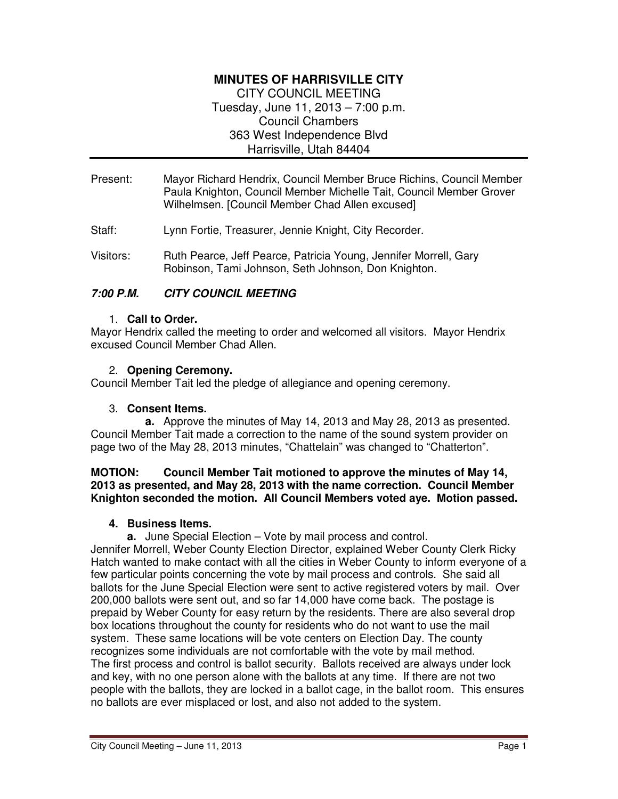# **MINUTES OF HARRISVILLE CITY**

CITY COUNCIL MEETING Tuesday, June 11, 2013 – 7:00 p.m. Council Chambers 363 West Independence Blvd Harrisville, Utah 84404

- Present: Mayor Richard Hendrix, Council Member Bruce Richins, Council Member Paula Knighton, Council Member Michelle Tait, Council Member Grover Wilhelmsen. [Council Member Chad Allen excused]
- Staff: Lynn Fortie, Treasurer, Jennie Knight, City Recorder.
- Visitors: Ruth Pearce, Jeff Pearce, Patricia Young, Jennifer Morrell, Gary Robinson, Tami Johnson, Seth Johnson, Don Knighton.

# **7:00 P.M. CITY COUNCIL MEETING**

#### 1. **Call to Order.**

Mayor Hendrix called the meeting to order and welcomed all visitors. Mayor Hendrix excused Council Member Chad Allen.

#### 2. **Opening Ceremony.**

Council Member Tait led the pledge of allegiance and opening ceremony.

#### 3. **Consent Items.**

**a.** Approve the minutes of May 14, 2013 and May 28, 2013 as presented. Council Member Tait made a correction to the name of the sound system provider on page two of the May 28, 2013 minutes, "Chattelain" was changed to "Chatterton".

#### **MOTION: Council Member Tait motioned to approve the minutes of May 14, 2013 as presented, and May 28, 2013 with the name correction. Council Member Knighton seconded the motion. All Council Members voted aye. Motion passed.**

#### **4. Business Items.**

**a.** June Special Election – Vote by mail process and control.

Jennifer Morrell, Weber County Election Director, explained Weber County Clerk Ricky Hatch wanted to make contact with all the cities in Weber County to inform everyone of a few particular points concerning the vote by mail process and controls. She said all ballots for the June Special Election were sent to active registered voters by mail. Over 200,000 ballots were sent out, and so far 14,000 have come back. The postage is prepaid by Weber County for easy return by the residents. There are also several drop box locations throughout the county for residents who do not want to use the mail system. These same locations will be vote centers on Election Day. The county recognizes some individuals are not comfortable with the vote by mail method. The first process and control is ballot security. Ballots received are always under lock and key, with no one person alone with the ballots at any time. If there are not two people with the ballots, they are locked in a ballot cage, in the ballot room. This ensures no ballots are ever misplaced or lost, and also not added to the system.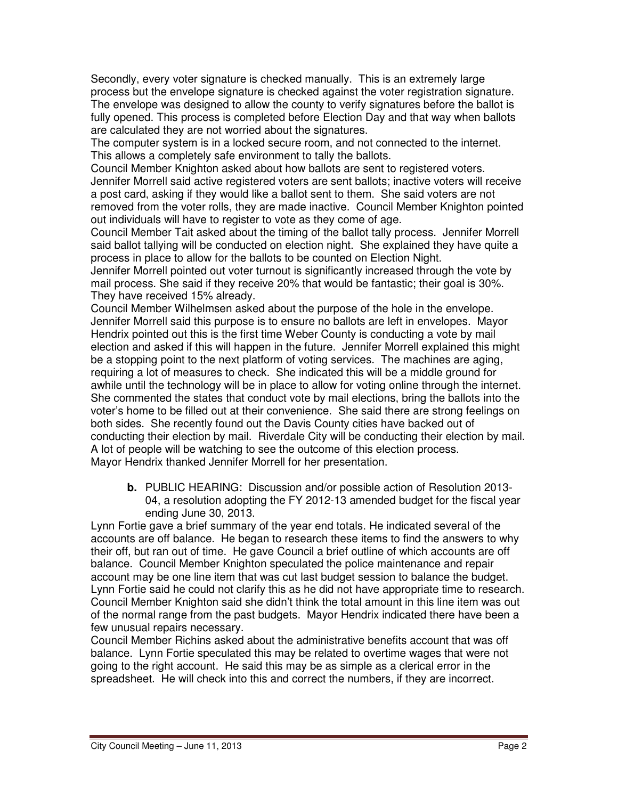Secondly, every voter signature is checked manually. This is an extremely large process but the envelope signature is checked against the voter registration signature. The envelope was designed to allow the county to verify signatures before the ballot is fully opened. This process is completed before Election Day and that way when ballots are calculated they are not worried about the signatures.

The computer system is in a locked secure room, and not connected to the internet. This allows a completely safe environment to tally the ballots.

Council Member Knighton asked about how ballots are sent to registered voters. Jennifer Morrell said active registered voters are sent ballots; inactive voters will receive a post card, asking if they would like a ballot sent to them. She said voters are not removed from the voter rolls, they are made inactive. Council Member Knighton pointed out individuals will have to register to vote as they come of age.

Council Member Tait asked about the timing of the ballot tally process. Jennifer Morrell said ballot tallying will be conducted on election night. She explained they have quite a process in place to allow for the ballots to be counted on Election Night.

Jennifer Morrell pointed out voter turnout is significantly increased through the vote by mail process. She said if they receive 20% that would be fantastic; their goal is 30%. They have received 15% already.

Council Member Wilhelmsen asked about the purpose of the hole in the envelope. Jennifer Morrell said this purpose is to ensure no ballots are left in envelopes. Mayor Hendrix pointed out this is the first time Weber County is conducting a vote by mail election and asked if this will happen in the future. Jennifer Morrell explained this might be a stopping point to the next platform of voting services. The machines are aging, requiring a lot of measures to check. She indicated this will be a middle ground for awhile until the technology will be in place to allow for voting online through the internet. She commented the states that conduct vote by mail elections, bring the ballots into the voter's home to be filled out at their convenience. She said there are strong feelings on both sides. She recently found out the Davis County cities have backed out of conducting their election by mail. Riverdale City will be conducting their election by mail. A lot of people will be watching to see the outcome of this election process. Mayor Hendrix thanked Jennifer Morrell for her presentation.

**b.** PUBLIC HEARING: Discussion and/or possible action of Resolution 2013- 04, a resolution adopting the FY 2012-13 amended budget for the fiscal year ending June 30, 2013.

Lynn Fortie gave a brief summary of the year end totals. He indicated several of the accounts are off balance. He began to research these items to find the answers to why their off, but ran out of time. He gave Council a brief outline of which accounts are off balance. Council Member Knighton speculated the police maintenance and repair account may be one line item that was cut last budget session to balance the budget. Lynn Fortie said he could not clarify this as he did not have appropriate time to research. Council Member Knighton said she didn't think the total amount in this line item was out of the normal range from the past budgets. Mayor Hendrix indicated there have been a few unusual repairs necessary.

Council Member Richins asked about the administrative benefits account that was off balance. Lynn Fortie speculated this may be related to overtime wages that were not going to the right account. He said this may be as simple as a clerical error in the spreadsheet. He will check into this and correct the numbers, if they are incorrect.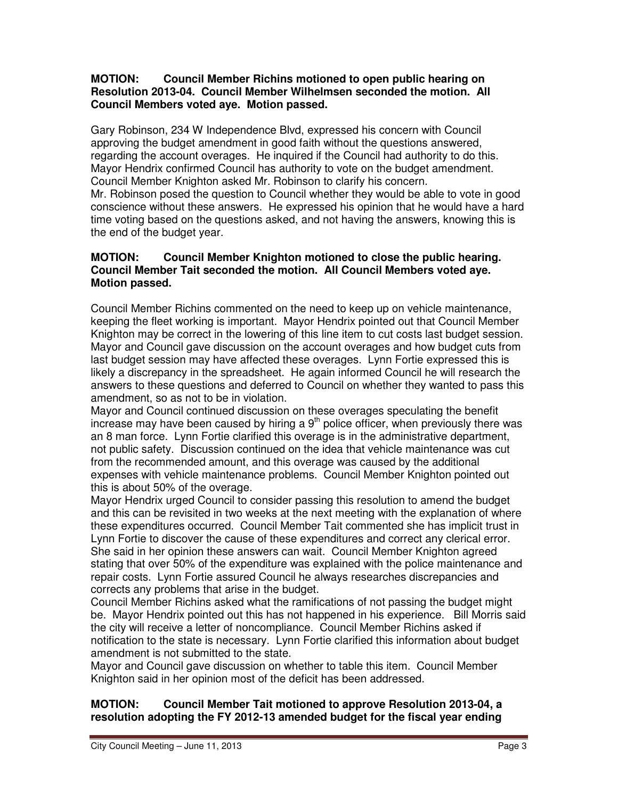#### **MOTION: Council Member Richins motioned to open public hearing on Resolution 2013-04. Council Member Wilhelmsen seconded the motion. All Council Members voted aye. Motion passed.**

Gary Robinson, 234 W Independence Blvd, expressed his concern with Council approving the budget amendment in good faith without the questions answered, regarding the account overages. He inquired if the Council had authority to do this. Mayor Hendrix confirmed Council has authority to vote on the budget amendment. Council Member Knighton asked Mr. Robinson to clarify his concern. Mr. Robinson posed the question to Council whether they would be able to vote in good conscience without these answers. He expressed his opinion that he would have a hard time voting based on the questions asked, and not having the answers, knowing this is the end of the budget year.

#### **MOTION: Council Member Knighton motioned to close the public hearing. Council Member Tait seconded the motion. All Council Members voted aye. Motion passed.**

Council Member Richins commented on the need to keep up on vehicle maintenance, keeping the fleet working is important. Mayor Hendrix pointed out that Council Member Knighton may be correct in the lowering of this line item to cut costs last budget session. Mayor and Council gave discussion on the account overages and how budget cuts from last budget session may have affected these overages. Lynn Fortie expressed this is likely a discrepancy in the spreadsheet. He again informed Council he will research the answers to these questions and deferred to Council on whether they wanted to pass this amendment, so as not to be in violation.

Mayor and Council continued discussion on these overages speculating the benefit increase may have been caused by hiring a  $9<sup>th</sup>$  police officer, when previously there was an 8 man force. Lynn Fortie clarified this overage is in the administrative department, not public safety. Discussion continued on the idea that vehicle maintenance was cut from the recommended amount, and this overage was caused by the additional expenses with vehicle maintenance problems. Council Member Knighton pointed out this is about 50% of the overage.

Mayor Hendrix urged Council to consider passing this resolution to amend the budget and this can be revisited in two weeks at the next meeting with the explanation of where these expenditures occurred. Council Member Tait commented she has implicit trust in Lynn Fortie to discover the cause of these expenditures and correct any clerical error. She said in her opinion these answers can wait. Council Member Knighton agreed stating that over 50% of the expenditure was explained with the police maintenance and repair costs. Lynn Fortie assured Council he always researches discrepancies and corrects any problems that arise in the budget.

Council Member Richins asked what the ramifications of not passing the budget might be. Mayor Hendrix pointed out this has not happened in his experience. Bill Morris said the city will receive a letter of noncompliance. Council Member Richins asked if notification to the state is necessary. Lynn Fortie clarified this information about budget amendment is not submitted to the state.

Mayor and Council gave discussion on whether to table this item. Council Member Knighton said in her opinion most of the deficit has been addressed.

# **MOTION: Council Member Tait motioned to approve Resolution 2013-04, a resolution adopting the FY 2012-13 amended budget for the fiscal year ending**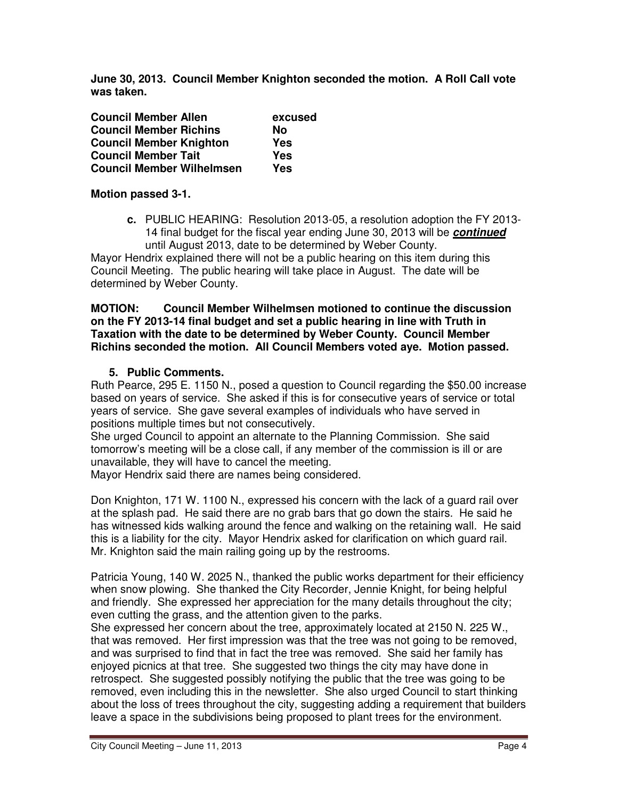**June 30, 2013. Council Member Knighton seconded the motion. A Roll Call vote was taken.** 

| <b>Council Member Allen</b>      | excused |
|----------------------------------|---------|
| <b>Council Member Richins</b>    | No      |
| <b>Council Member Knighton</b>   | Yes     |
| <b>Council Member Tait</b>       | Yes     |
| <b>Council Member Wilhelmsen</b> | Yes     |

# **Motion passed 3-1.**

**c.** PUBLIC HEARING: Resolution 2013-05, a resolution adoption the FY 2013- 14 final budget for the fiscal year ending June 30, 2013 will be **continued** until August 2013, date to be determined by Weber County.

Mayor Hendrix explained there will not be a public hearing on this item during this Council Meeting. The public hearing will take place in August. The date will be determined by Weber County.

#### **MOTION: Council Member Wilhelmsen motioned to continue the discussion on the FY 2013-14 final budget and set a public hearing in line with Truth in Taxation with the date to be determined by Weber County. Council Member Richins seconded the motion. All Council Members voted aye. Motion passed.**

# **5. Public Comments.**

Ruth Pearce, 295 E. 1150 N., posed a question to Council regarding the \$50.00 increase based on years of service. She asked if this is for consecutive years of service or total years of service. She gave several examples of individuals who have served in positions multiple times but not consecutively.

She urged Council to appoint an alternate to the Planning Commission. She said tomorrow's meeting will be a close call, if any member of the commission is ill or are unavailable, they will have to cancel the meeting.

Mayor Hendrix said there are names being considered.

Don Knighton, 171 W. 1100 N., expressed his concern with the lack of a guard rail over at the splash pad. He said there are no grab bars that go down the stairs. He said he has witnessed kids walking around the fence and walking on the retaining wall. He said this is a liability for the city. Mayor Hendrix asked for clarification on which guard rail. Mr. Knighton said the main railing going up by the restrooms.

Patricia Young, 140 W. 2025 N., thanked the public works department for their efficiency when snow plowing. She thanked the City Recorder, Jennie Knight, for being helpful and friendly. She expressed her appreciation for the many details throughout the city; even cutting the grass, and the attention given to the parks.

She expressed her concern about the tree, approximately located at 2150 N. 225 W., that was removed. Her first impression was that the tree was not going to be removed, and was surprised to find that in fact the tree was removed. She said her family has enjoyed picnics at that tree. She suggested two things the city may have done in retrospect. She suggested possibly notifying the public that the tree was going to be removed, even including this in the newsletter. She also urged Council to start thinking about the loss of trees throughout the city, suggesting adding a requirement that builders leave a space in the subdivisions being proposed to plant trees for the environment.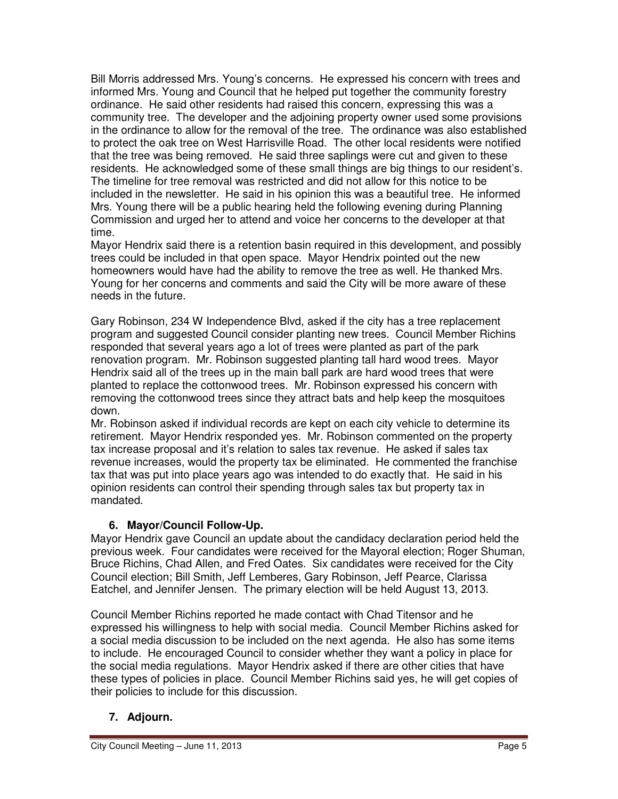Bill Morris addressed Mrs. Young's concerns. He expressed his concern with trees and informed Mrs. Young and Council that he helped put together the community forestry ordinance. He said other residents had raised this concern, expressing this was a community tree. The developer and the adjoining property owner used some provisions in the ordinance to allow for the removal of the tree. The ordinance was also established to protect the oak tree on West Harrisville Road. The other local residents were notified that the tree was being removed. He said three saplings were cut and given to these residents. He acknowledged some of these small things are big things to our resident's. The timeline for tree removal was restricted and did not allow for this notice to be included in the newsletter. He said in his opinion this was a beautiful tree. He informed Mrs. Young there will be a public hearing held the following evening during Planning Commission and urged her to attend and voice her concerns to the developer at that time.

Mayor Hendrix said there is a retention basin required in this development, and possibly trees could be included in that open space. Mayor Hendrix pointed out the new homeowners would have had the ability to remove the tree as well. He thanked Mrs. Young for her concerns and comments and said the City will be more aware of these needs in the future.

Gary Robinson, 234 W Independence Blvd, asked if the city has a tree replacement program and suggested Council consider planting new trees. Council Member Richins responded that several years ago a lot of trees were planted as part of the park renovation program. Mr. Robinson suggested planting tall hard wood trees. Mayor Hendrix said all of the trees up in the main ball park are hard wood trees that were planted to replace the cottonwood trees. Mr. Robinson expressed his concern with removing the cottonwood trees since they attract bats and help keep the mosquitoes down.

Mr. Robinson asked if individual records are kept on each city vehicle to determine its retirement. Mayor Hendrix responded yes. Mr. Robinson commented on the property tax increase proposal and it's relation to sales tax revenue. He asked if sales tax revenue increases, would the property tax be eliminated. He commented the franchise tax that was put into place years ago was intended to do exactly that. He said in his opinion residents can control their spending through sales tax but property tax in mandated.

# **6. Mayor/Council Follow-Up.**

Mayor Hendrix gave Council an update about the candidacy declaration period held the previous week. Four candidates were received for the Mayoral election; Roger Shuman, Bruce Richins, Chad Allen, and Fred Oates. Six candidates were received for the City Council election; Bill Smith, Jeff Lemberes, Gary Robinson, Jeff Pearce, Clarissa Eatchel, and Jennifer Jensen. The primary election will be held August 13, 2013.

Council Member Richins reported he made contact with Chad Titensor and he expressed his willingness to help with social media. Council Member Richins asked for a social media discussion to be included on the next agenda. He also has some items to include. He encouraged Council to consider whether they want a policy in place for the social media regulations. Mayor Hendrix asked if there are other cities that have these types of policies in place. Council Member Richins said yes, he will get copies of their policies to include for this discussion.

# **7. Adjourn.**